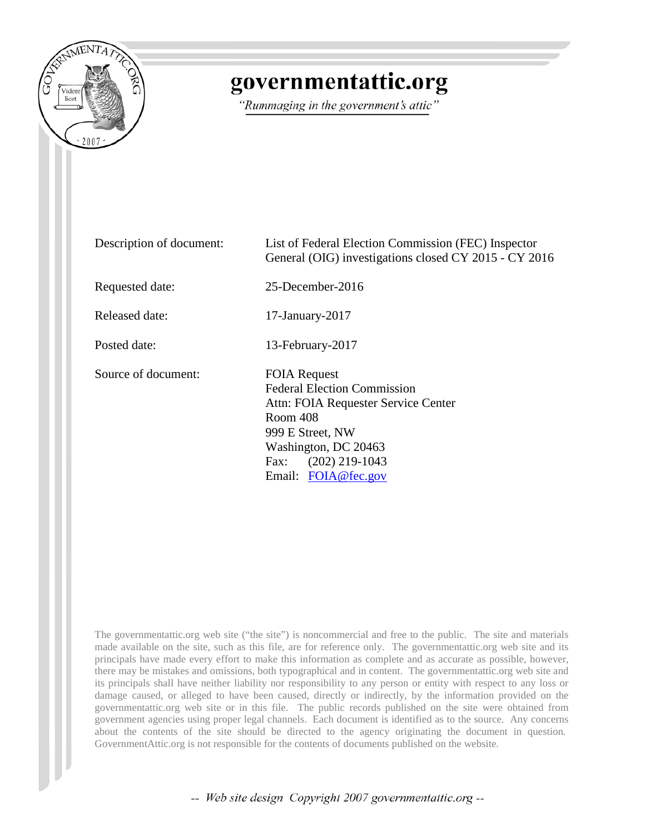

## governmentattic.org

"Rummaging in the government's attic"

| Description of document: | List of Federal Election Commission (FEC) Inspector<br>General (OIG) investigations closed CY 2015 - CY 2016                                                                                                |  |
|--------------------------|-------------------------------------------------------------------------------------------------------------------------------------------------------------------------------------------------------------|--|
| Requested date:          | $25$ -December-2016                                                                                                                                                                                         |  |
| Released date:           | $17$ -January- $2017$                                                                                                                                                                                       |  |
| Posted date:             | 13-February-2017                                                                                                                                                                                            |  |
| Source of document:      | <b>FOIA Request</b><br><b>Federal Election Commission</b><br>Attn: FOIA Requester Service Center<br>Room 408<br>999 E Street, NW<br>Washington, DC 20463<br>$(202)$ 219-1043<br>Fax:<br>Email: FOIA@fec.gov |  |

The governmentattic.org web site ("the site") is noncommercial and free to the public. The site and materials made available on the site, such as this file, are for reference only. The governmentattic.org web site and its principals have made every effort to make this information as complete and as accurate as possible, however, there may be mistakes and omissions, both typographical and in content. The governmentattic.org web site and its principals shall have neither liability nor responsibility to any person or entity with respect to any loss or damage caused, or alleged to have been caused, directly or indirectly, by the information provided on the governmentattic.org web site or in this file. The public records published on the site were obtained from government agencies using proper legal channels. Each document is identified as to the source. Any concerns about the contents of the site should be directed to the agency originating the document in question. GovernmentAttic.org is not responsible for the contents of documents published on the website.

-- Web site design Copyright 2007 governmentattic.org --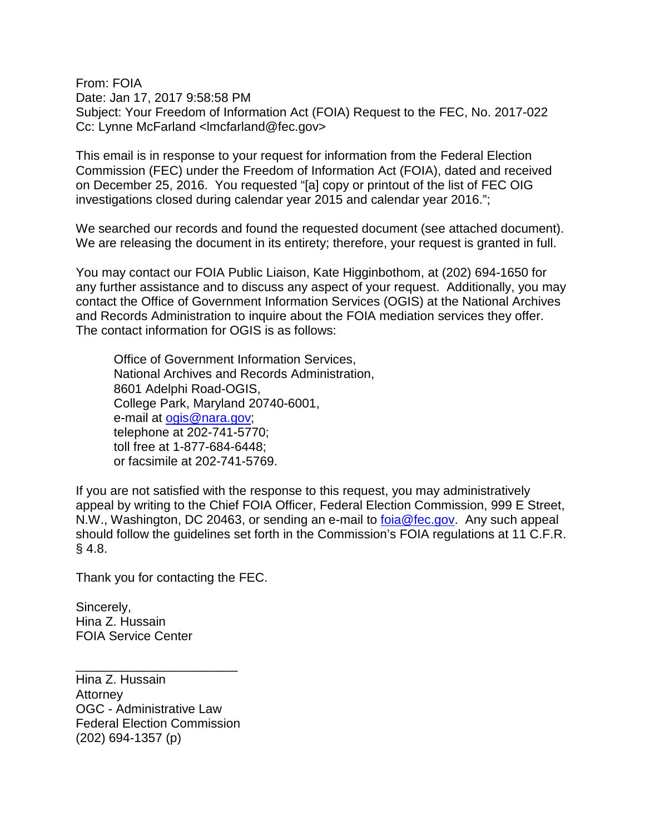From: FOIA Date: Jan 17, 2017 9:58:58 PM Subject: Your Freedom of Information Act (FOIA) Request to the FEC, No. 2017-022 Cc: Lynne McFarland <lmcfarland@fec.gov>

This email is in response to your request for information from the Federal Election Commission (FEC) under the Freedom of Information Act (FOIA), dated and received on December 25, 2016. You requested "[a] copy or printout of the list of FEC OIG investigations closed during calendar year 2015 and calendar year 2016.";

We searched our records and found the requested document (see attached document). We are releasing the document in its entirety; therefore, your request is granted in full.

You may contact our FOIA Public Liaison, Kate Higginbothom, at (202) 694-1650 for any further assistance and to discuss any aspect of your request. Additionally, you may contact the Office of Government Information Services (OGIS) at the National Archives and Records Administration to inquire about the FOIA mediation services they offer. The contact information for OGIS is as follows:

Office of Government Information Services, National Archives and Records Administration, 8601 Adelphi Road-OGIS, College Park, Maryland 20740-6001, e-mail at [ogis@nara.gov;](mailto:ogis@nara.gov) telephone at 202-741-5770; toll free at 1-877-684-6448; or facsimile at 202-741-5769.

If you are not satisfied with the response to this request, you may administratively appeal by writing to the Chief FOIA Officer, Federal Election Commission, 999 E Street, N.W., Washington, DC 20463, or sending an e-mail to [foia@fec.gov.](mailto:foia@fec.gov) Any such appeal should follow the guidelines set forth in the Commission's FOIA regulations at 11 C.F.R. § 4.8.

Thank you for contacting the FEC.

Sincerely, Hina Z. Hussain FOIA Service Center

Hina Z. Hussain Attorney OGC - Administrative Law Federal Election Commission (202) 694-1357 (p)

\_\_\_\_\_\_\_\_\_\_\_\_\_\_\_\_\_\_\_\_\_\_\_